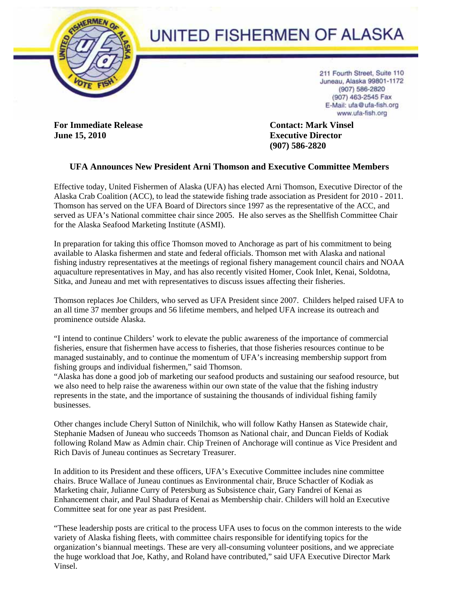

## UNITED FISHERMEN OF ALASKA

211 Fourth Street, Suite 110 Juneau, Alaska 99801-1172 (907) 586-2820 (907) 463-2545 Fax E-Mail: ufa@ufa-fish.org www.ufa-fish.org

**For Immediate Release Contact: Mark Vinsel June 15, 2010** Executive Director **Executive Director** 

 **(907) 586-2820** 

## **UFA Announces New President Arni Thomson and Executive Committee Members**

Effective today, United Fishermen of Alaska (UFA) has elected Arni Thomson, Executive Director of the Alaska Crab Coalition (ACC), to lead the statewide fishing trade association as President for 2010 - 2011. Thomson has served on the UFA Board of Directors since 1997 as the representative of the ACC, and served as UFA's National committee chair since 2005. He also serves as the Shellfish Committee Chair for the Alaska Seafood Marketing Institute (ASMI).

In preparation for taking this office Thomson moved to Anchorage as part of his commitment to being available to Alaska fishermen and state and federal officials. Thomson met with Alaska and national fishing industry representatives at the meetings of regional fishery management council chairs and NOAA aquaculture representatives in May, and has also recently visited Homer, Cook Inlet, Kenai, Soldotna, Sitka, and Juneau and met with representatives to discuss issues affecting their fisheries.

Thomson replaces Joe Childers, who served as UFA President since 2007. Childers helped raised UFA to an all time 37 member groups and 56 lifetime members, and helped UFA increase its outreach and prominence outside Alaska.

"I intend to continue Childers' work to elevate the public awareness of the importance of commercial fisheries, ensure that fishermen have access to fisheries, that those fisheries resources continue to be managed sustainably, and to continue the momentum of UFA's increasing membership support from fishing groups and individual fishermen," said Thomson.

"Alaska has done a good job of marketing our seafood products and sustaining our seafood resource, but we also need to help raise the awareness within our own state of the value that the fishing industry represents in the state, and the importance of sustaining the thousands of individual fishing family businesses.

Other changes include Cheryl Sutton of Ninilchik, who will follow Kathy Hansen as Statewide chair, Stephanie Madsen of Juneau who succeeds Thomson as National chair, and Duncan Fields of Kodiak following Roland Maw as Admin chair. Chip Treinen of Anchorage will continue as Vice President and Rich Davis of Juneau continues as Secretary Treasurer.

In addition to its President and these officers, UFA's Executive Committee includes nine committee chairs. Bruce Wallace of Juneau continues as Environmental chair, Bruce Schactler of Kodiak as Marketing chair, Julianne Curry of Petersburg as Subsistence chair, Gary Fandrei of Kenai as Enhancement chair, and Paul Shadura of Kenai as Membership chair. Childers will hold an Executive Committee seat for one year as past President.

"These leadership posts are critical to the process UFA uses to focus on the common interests to the wide variety of Alaska fishing fleets, with committee chairs responsible for identifying topics for the organization's biannual meetings. These are very all-consuming volunteer positions, and we appreciate the huge workload that Joe, Kathy, and Roland have contributed," said UFA Executive Director Mark Vinsel.